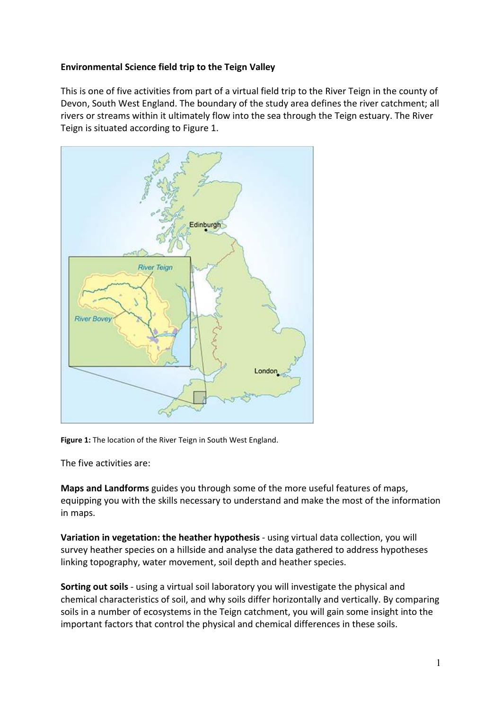## **Environmental Science field trip to the Teign Valley**

This is one of five activities from part of a virtual field trip to the River Teign in the county of Devon, South West England. The boundary of the study area defines the river catchment; all rivers or streams within it ultimately flow into the sea through the Teign estuary. The River Teign is situated according to Figure 1.



**Figure 1:** The location of the River Teign in South West England.

The five activities are:

**Maps and Landforms** guides you through some of the more useful features of maps, equipping you with the skills necessary to understand and make the most of the information in maps.

**Variation in vegetation: the heather hypothesis** - using virtual data collection, you will survey heather species on a hillside and analyse the data gathered to address hypotheses linking topography, water movement, soil depth and heather species.

**Sorting out soils** - using a virtual soil laboratory you will investigate the physical and chemical characteristics of soil, and why soils differ horizontally and vertically. By comparing soils in a number of ecosystems in the Teign catchment, you will gain some insight into the important factors that control the physical and chemical differences in these soils.